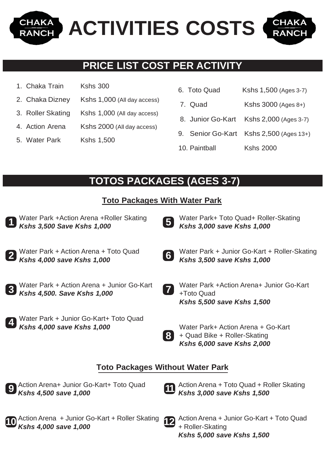**CHAKA** CHAKA **ACTIVITIES COSTS RANCI RANCH** 

## **PRICE LIST COST PER ACTIVITY**

- 1. Chaka Train Kshs 300
- 2. Chaka Dizney Kshs 1,000 (All day access)
- 3. Roller Skating Kshs 1,000 (All day access)
- 4. Action Arena Kshs 2000 (All day access)
- 5. Water Park Kshs 1,500

| 6. Toto Quad | Kshs 1,500 (Ages 3-7) |
|--------------|-----------------------|
|              |                       |

- 7. Quad Kshs 3000 (Ages 8+)
- 8. Junior Go-Kart Kshs 2,000 (Ages 3-7)
- 9. Senior Go-Kart Kshs 2,500 (Ages 13+)
- 10. Paintball Kshs 2000

# **TOTOS PACKAGES (AGES 3-7)**

#### **Toto Packages With Water Park**

- Water Park +Action Arena +Roller Skating *Kshs 3,500 Save Kshs 1,000* Water Park + Action Arena + Toto Quad *Kshs 4,000 save Kshs 1,000* Water Park + Action Arena + Junior Go-Kart *Kshs 4,500. Save Kshs 1,000* Water Park + Junior Go-Kart+ Toto Quad *Kshs 4,000 save Kshs 1,000* Water Park+ Toto Quad+ Roller-Skating *Kshs 3,000 save Kshs 1,000* Water Park + Junior Go-Kart + Roller-Skating *Kshs 3,500 save Kshs 1,000* Water Park +Action Arena+ Junior Go-Kart +Toto Quad *Kshs 5,500 save Kshs 1,500* Water Park+ Action Arena + Go-Kart + Quad Bike + Roller-Skating *Kshs 6,000 save Kshs 2,000* **Toto Packages Without Water Park 1 2 3 4 5 6 7 8**
- **9**

**10**

Action Arena+ Junior Go-Kart+ Toto Quad *Kshs 4,500 save 1,000*

**11**

- Action Arena + Toto Quad + Roller Skating *Kshs 3,000 save Kshs 1,500*
- Action Arena + Junior Go-Kart + Roller Skating *Kshs 4,000 save 1,000* **12**
	- Action Arena + Junior Go-Kart + Toto Quad + Roller-Skating *Kshs 5,000 save Kshs 1,500*